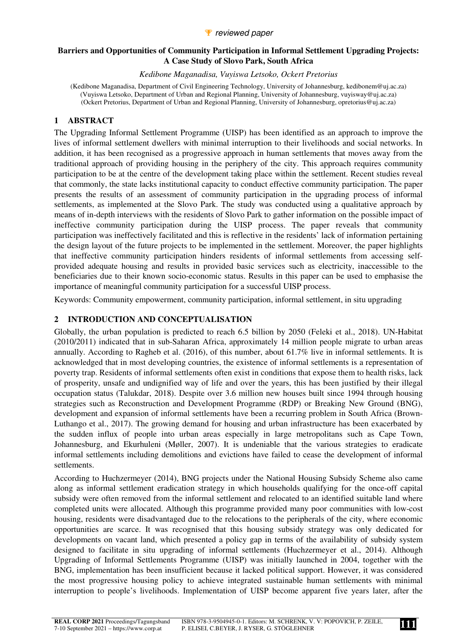### *P* reviewed paper

### **Barriers and Opportunities of Community Participation in Informal Settlement Upgrading Projects: A Case Study of Slovo Park, South Africa**

*Kedibone Maganadisa, Vuyiswa Letsoko, Ockert Pretorius* 

(Kedibone Maganadisa, Department of Civil Engineering Technology, University of Johannesburg, kedibonem@uj.ac.za) (Vuyiswa Letsoko, Department of Urban and Regional Planning, University of Johannesburg, vuyisway@uj.ac.za) (Ockert Pretorius, Department of Urban and Regional Planning, University of Johannesburg, opretorius@uj.ac.za)

## **1 ABSTRACT**

The Upgrading Informal Settlement Programme (UISP) has been identified as an approach to improve the lives of informal settlement dwellers with minimal interruption to their livelihoods and social networks. In addition, it has been recognised as a progressive approach in human settlements that moves away from the traditional approach of providing housing in the periphery of the city. This approach requires community participation to be at the centre of the development taking place within the settlement. Recent studies reveal that commonly, the state lacks institutional capacity to conduct effective community participation. The paper presents the results of an assessment of community participation in the upgrading process of informal settlements, as implemented at the Slovo Park. The study was conducted using a qualitative approach by means of in-depth interviews with the residents of Slovo Park to gather information on the possible impact of ineffective community participation during the UISP process. The paper reveals that community participation was ineffectively facilitated and this is reflective in the residents' lack of information pertaining the design layout of the future projects to be implemented in the settlement. Moreover, the paper highlights that ineffective community participation hinders residents of informal settlements from accessing selfprovided adequate housing and results in provided basic services such as electricity, inaccessible to the beneficiaries due to their known socio-economic status. Results in this paper can be used to emphasise the importance of meaningful community participation for a successful UISP process.

Keywords: Community empowerment, community participation, informal settlement, in situ upgrading

## **2 INTRODUCTION AND CONCEPTUALISATION**

Globally, the urban population is predicted to reach 6.5 billion by 2050 (Feleki et al., 2018). UN-Habitat (2010/2011) indicated that in sub-Saharan Africa, approximately 14 million people migrate to urban areas annually. According to Ragheb et al. (2016), of this number, about 61.7% live in informal settlements. It is acknowledged that in most developing countries, the existence of informal settlements is a representation of poverty trap. Residents of informal settlements often exist in conditions that expose them to health risks, lack of prosperity, unsafe and undignified way of life and over the years, this has been justified by their illegal occupation status (Talukdar, 2018). Despite over 3.6 million new houses built since 1994 through housing strategies such as Reconstruction and Development Programme (RDP) or Breaking New Ground (BNG), development and expansion of informal settlements have been a recurring problem in South Africa (Brown-Luthango et al., 2017). The growing demand for housing and urban infrastructure has been exacerbated by the sudden influx of people into urban areas especially in large metropolitans such as Cape Town, Johannesburg, and Ekurhuleni (Møller, 2007). It is undeniable that the various strategies to eradicate informal settlements including demolitions and evictions have failed to cease the development of informal settlements.

According to Huchzermeyer (2014), BNG projects under the National Housing Subsidy Scheme also came along as informal settlement eradication strategy in which households qualifying for the once-off capital subsidy were often removed from the informal settlement and relocated to an identified suitable land where completed units were allocated. Although this programme provided many poor communities with low-cost housing, residents were disadvantaged due to the relocations to the peripherals of the city, where economic opportunities are scarce. It was recognised that this housing subsidy strategy was only dedicated for developments on vacant land, which presented a policy gap in terms of the availability of subsidy system designed to facilitate in situ upgrading of informal settlements (Huchzermeyer et al., 2014). Although Upgrading of Informal Settlements Programme (UISP) was initially launched in 2004, together with the BNG, implementation has been insufficient because it lacked political support. However, it was considered the most progressive housing policy to achieve integrated sustainable human settlements with minimal interruption to people's livelihoods. Implementation of UISP become apparent five years later, after the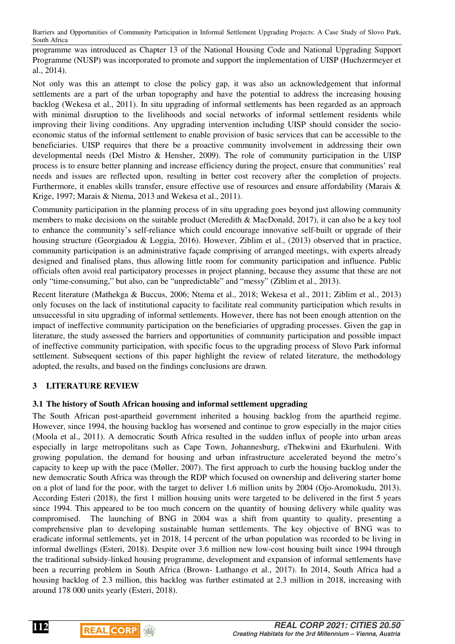programme was introduced as Chapter 13 of the National Housing Code and National Upgrading Support Programme (NUSP) was incorporated to promote and support the implementation of UISP (Huchzermeyer et al., 2014).

Not only was this an attempt to close the policy gap, it was also an acknowledgement that informal settlements are a part of the urban topography and have the potential to address the increasing housing backlog (Wekesa et al., 2011). In situ upgrading of informal settlements has been regarded as an approach with minimal disruption to the livelihoods and social networks of informal settlement residents while improving their living conditions. Any upgrading intervention including UISP should consider the socioeconomic status of the informal settlement to enable provision of basic services that can be accessible to the beneficiaries. UISP requires that there be a proactive community involvement in addressing their own developmental needs (Del Mistro & Hensher, 2009). The role of community participation in the UISP process is to ensure better planning and increase efficiency during the project, ensure that communities' real needs and issues are reflected upon, resulting in better cost recovery after the completion of projects. Furthermore, it enables skills transfer, ensure effective use of resources and ensure affordability (Marais & Krige, 1997; Marais & Ntema, 2013 and Wekesa et al., 2011).

Community participation in the planning process of in situ upgrading goes beyond just allowing community members to make decisions on the suitable product (Meredith & MacDonald, 2017), it can also be a key tool to enhance the community's self-reliance which could encourage innovative self-built or upgrade of their housing structure (Georgiadou & Loggia, 2016). However, Ziblim et al., (2013) observed that in practice, community participation is an administrative façade comprising of arranged meetings, with experts already designed and finalised plans, thus allowing little room for community participation and influence. Public officials often avoid real participatory processes in project planning, because they assume that these are not only "time-consuming," but also, can be "unpredictable" and "messy" (Ziblim et al., 2013).

Recent literature (Mathekga & Buccus, 2006; Ntema et al., 2018; Wekesa et al., 2011; Ziblim et al., 2013) only focuses on the lack of institutional capacity to facilitate real community participation which results in unsuccessful in situ upgrading of informal settlements. However, there has not been enough attention on the impact of ineffective community participation on the beneficiaries of upgrading processes. Given the gap in literature, the study assessed the barriers and opportunities of community participation and possible impact of ineffective community participation, with specific focus to the upgrading process of Slovo Park informal settlement. Subsequent sections of this paper highlight the review of related literature, the methodology adopted, the results, and based on the findings conclusions are drawn.

## **3 LITERATURE REVIEW**

## **3.1 The history of South African housing and informal settlement upgrading**

The South African post-apartheid government inherited a housing backlog from the apartheid regime. However, since 1994, the housing backlog has worsened and continue to grow especially in the major cities (Moola et al., 2011). A democratic South Africa resulted in the sudden influx of people into urban areas especially in large metropolitans such as Cape Town, Johannesburg, eThekwini and Ekurhuleni. With growing population, the demand for housing and urban infrastructure accelerated beyond the metro's capacity to keep up with the pace (Møller, 2007). The first approach to curb the housing backlog under the new democratic South Africa was through the RDP which focused on ownership and delivering starter home on a plot of land for the poor, with the target to deliver 1.6 million units by 2004 (Ojo-Aromokudu, 2013). According Esteri (2018), the first 1 million housing units were targeted to be delivered in the first 5 years since 1994. This appeared to be too much concern on the quantity of housing delivery while quality was compromised. The launching of BNG in 2004 was a shift from quantity to quality, presenting a comprehensive plan to developing sustainable human settlements. The key objective of BNG was to eradicate informal settlements, yet in 2018, 14 percent of the urban population was recorded to be living in informal dwellings (Esteri, 2018). Despite over 3.6 million new low-cost housing built since 1994 through the traditional subsidy-linked housing programme, development and expansion of informal settlements have been a recurring problem in South Africa (Brown- Luthango et al., 2017). In 2014, South Africa had a housing backlog of 2.3 million, this backlog was further estimated at 2.3 million in 2018, increasing with around 178 000 units yearly (Esteri, 2018).

**112**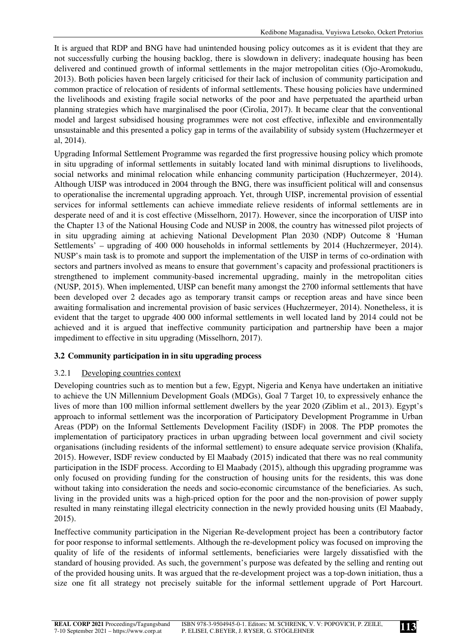It is argued that RDP and BNG have had unintended housing policy outcomes as it is evident that they are not successfully curbing the housing backlog, there is slowdown in delivery; inadequate housing has been delivered and continued growth of informal settlements in the major metropolitan cities (Ojo-Aromokudu, 2013). Both policies haven been largely criticised for their lack of inclusion of community participation and common practice of relocation of residents of informal settlements. These housing policies have undermined the livelihoods and existing fragile social networks of the poor and have perpetuated the apartheid urban planning strategies which have marginalised the poor (Cirolia, 2017). It became clear that the conventional model and largest subsidised housing programmes were not cost effective, inflexible and environmentally unsustainable and this presented a policy gap in terms of the availability of subsidy system (Huchzermeyer et al, 2014).

Upgrading Informal Settlement Programme was regarded the first progressive housing policy which promote in situ upgrading of informal settlements in suitably located land with minimal disruptions to livelihoods, social networks and minimal relocation while enhancing community participation (Huchzermeyer, 2014). Although UISP was introduced in 2004 through the BNG, there was insufficient political will and consensus to operationalise the incremental upgrading approach. Yet, through UISP, incremental provision of essential services for informal settlements can achieve immediate relieve residents of informal settlements are in desperate need of and it is cost effective (Misselhorn, 2017). However, since the incorporation of UISP into the Chapter 13 of the National Housing Code and NUSP in 2008, the country has witnessed pilot projects of in situ upgrading aiming at achieving National Development Plan 2030 (NDP) Outcome 8 'Human Settlements' – upgrading of 400 000 households in informal settlements by 2014 (Huchzermeyer, 2014). NUSP's main task is to promote and support the implementation of the UISP in terms of co-ordination with sectors and partners involved as means to ensure that government's capacity and professional practitioners is strengthened to implement community-based incremental upgrading, mainly in the metropolitan cities (NUSP, 2015). When implemented, UISP can benefit many amongst the 2700 informal settlements that have been developed over 2 decades ago as temporary transit camps or reception areas and have since been awaiting formalisation and incremental provision of basic services (Huchzermeyer, 2014). Nonetheless, it is evident that the target to upgrade 400 000 informal settlements in well located land by 2014 could not be achieved and it is argued that ineffective community participation and partnership have been a major impediment to effective in situ upgrading (Misselhorn, 2017).

# **3.2 Community participation in in situ upgrading process**

## 3.2.1 Developing countries context

Developing countries such as to mention but a few, Egypt, Nigeria and Kenya have undertaken an initiative to achieve the UN Millennium Development Goals (MDGs), Goal 7 Target 10, to expressively enhance the lives of more than 100 million informal settlement dwellers by the year 2020 (Ziblim et al., 2013). Egypt's approach to informal settlement was the incorporation of Participatory Development Programme in Urban Areas (PDP) on the Informal Settlements Development Facility (ISDF) in 2008. The PDP promotes the implementation of participatory practices in urban upgrading between local government and civil society organisations (including residents of the informal settlement) to ensure adequate service provision (Khalifa, 2015). However, ISDF review conducted by El Maabady (2015) indicated that there was no real community participation in the ISDF process. According to El Maabady (2015), although this upgrading programme was only focused on providing funding for the construction of housing units for the residents, this was done without taking into consideration the needs and socio-economic circumstance of the beneficiaries. As such, living in the provided units was a high-priced option for the poor and the non-provision of power supply resulted in many reinstating illegal electricity connection in the newly provided housing units (El Maabady, 2015).

Ineffective community participation in the Nigerian Re-development project has been a contributory factor for poor response to informal settlements. Although the re-development policy was focused on improving the quality of life of the residents of informal settlements, beneficiaries were largely dissatisfied with the standard of housing provided. As such, the government's purpose was defeated by the selling and renting out of the provided housing units. It was argued that the re-development project was a top-down initiation, thus a size one fit all strategy not precisely suitable for the informal settlement upgrade of Port Harcourt.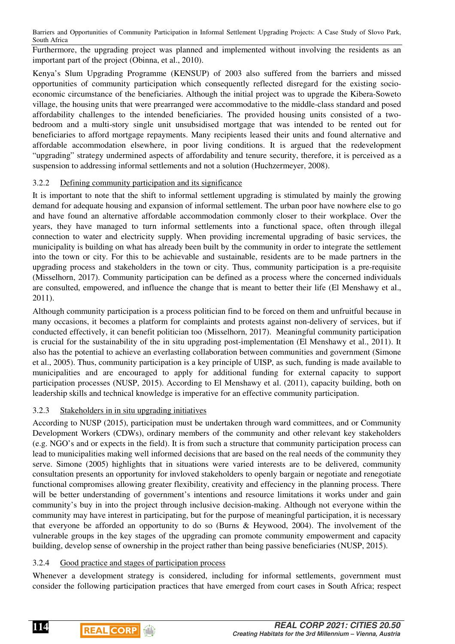Furthermore, the upgrading project was planned and implemented without involving the residents as an important part of the project (Obinna, et al., 2010).

Kenya's Slum Upgrading Programme (KENSUP) of 2003 also suffered from the barriers and missed opportunities of community participation which consequently reflected disregard for the existing socioeconomic circumstance of the beneficiaries. Although the initial project was to upgrade the Kibera-Soweto village, the housing units that were prearranged were accommodative to the middle-class standard and posed affordability challenges to the intended beneficiaries. The provided housing units consisted of a twobedroom and a multi-story single unit unsubsidised mortgage that was intended to be rented out for beneficiaries to afford mortgage repayments. Many recipients leased their units and found alternative and affordable accommodation elsewhere, in poor living conditions. It is argued that the redevelopment "upgrading" strategy undermined aspects of affordability and tenure security, therefore, it is perceived as a suspension to addressing informal settlements and not a solution (Huchzermeyer, 2008).

### 3.2.2 Defining community participation and its significance

It is important to note that the shift to informal settlement upgrading is stimulated by mainly the growing demand for adequate housing and expansion of informal settlement. The urban poor have nowhere else to go and have found an alternative affordable accommodation commonly closer to their workplace. Over the years, they have managed to turn informal settlements into a functional space, often through illegal connection to water and electricity supply. When providing incremental upgrading of basic services, the municipality is building on what has already been built by the community in order to integrate the settlement into the town or city. For this to be achievable and sustainable, residents are to be made partners in the upgrading process and stakeholders in the town or city. Thus, community participation is a pre-requisite (Misselhorn, 2017). Community participation can be defined as a process where the concerned individuals are consulted, empowered, and influence the change that is meant to better their life (El Menshawy et al., 2011).

Although community participation is a process politician find to be forced on them and unfruitful because in many occasions, it becomes a platform for complaints and protests against non-delivery of services, but if conducted effectively, it can benefit politician too (Misselhorn, 2017). Meaningful community participation is crucial for the sustainability of the in situ upgrading post-implementation (El Menshawy et al., 2011). It also has the potential to achieve an everlasting collaboration between communities and government (Simone et al., 2005). Thus, community participation is a key principle of UISP, as such, funding is made available to municipalities and are encouraged to apply for additional funding for external capacity to support participation processes (NUSP, 2015). According to El Menshawy et al. (2011), capacity building, both on leadership skills and technical knowledge is imperative for an effective community participation.

## 3.2.3 Stakeholders in in situ upgrading initiatives

According to NUSP (2015), participation must be undertaken through ward committees, and or Community Development Workers (CDWs), ordinary members of the community and other relevant key stakeholders (e.g. NGO's and or expects in the field). It is from such a structure that community participation process can lead to municipalities making well informed decisions that are based on the real needs of the community they serve. Simone (2005) highlights that in situations were varied interests are to be delivered, community consultation presents an opportunity for invloved stakeholders to openly bargain or negotiate and renegotiate functional compromises allowing greater flexibility, creativity and effeciency in the planning process. There will be better understanding of government's intentions and resource limitations it works under and gain community's buy in into the project through inclusive decision-making. Although not everyone within the community may have interest in participating, but for the purpose of meaningful participation, it is necessary that everyone be afforded an opportunity to do so (Burns & Heywood, 2004). The involvement of the vulnerable groups in the key stages of the upgrading can promote community empowerment and capacity building, develop sense of ownership in the project rather than being passive beneficiaries (NUSP, 2015).

## 3.2.4 Good practice and stages of participation process

Whenever a development strategy is considered, including for informal settlements, government must consider the following participation practices that have emerged from court cases in South Africa; respect



**114**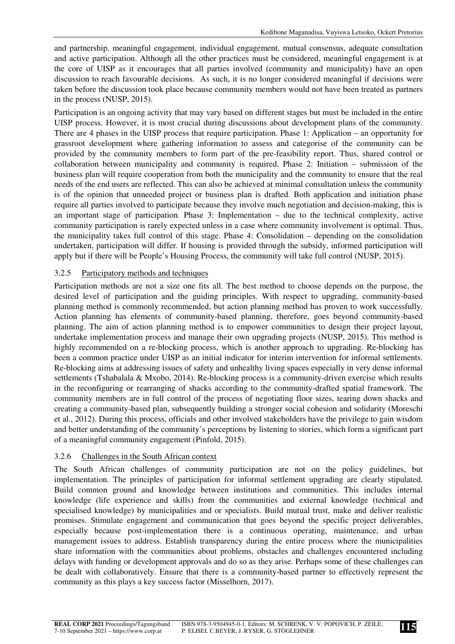and partnership, meaningful engagement, individual engagement, mutual consensus, adequate consultation and active participation. Although all the other practices must be considered, meaningful engagement is at the core of UISP as it encourages that all parties involved (community and municipality) have an open discussion to reach favourable decisions. As such, it is no longer considered meaningful if decisions were taken before the discussion took place because community members would not have been treated as partners in the process (NUSP, 2015).

Participation is an ongoing activity that may vary based on different stages but must be included in the entire UISP process. However, it is most crucial during discussions about development plans of the community. There are 4 phases in the UISP process that require participation. Phase 1: Application – an opportunity for grassroot development where gathering information to assess and categorise of the community can be provided by the community members to form part of the pre-feasibility report. Thus, shared control or collaboration between municipality and community is required. Phase 2: Initiation – submission of the business plan will require cooperation from both the municipality and the community to ensure that the real needs of the end users are reflected. This can also be achieved at minimal consultation unless the community is of the opinion that unneeded project or business plan is drafted. Both application and initiation phase require all parties involved to participate because they involve much negotiation and decision-making, this is an important stage of participation. Phase 3: Implementation – due to the technical complexity, active community participation is rarely expected unless in a case where community involvement is optimal. Thus, the municipality takes full control of this stage. Phase 4: Consolidation – depending on the consolidation undertaken, participation will differ. If housing is provided through the subsidy, informed participation will apply but if there will be People's Housing Process, the community will take full control (NUSP, 2015).

### 3.2.5 Participatory methods and techniques

Participation methods are not a size one fits all. The best method to choose depends on the purpose, the desired level of participation and the guiding principles. With respect to upgrading, community-based planning method is commonly recommended, but action planning method has proven to work successfully. Action planning has elements of community-based planning, therefore, goes beyond community-based planning. The aim of action planning method is to empower communities to design their project layout, undertake implementation process and manage their own upgrading projects (NUSP, 2015). This method is highly recommended on a re-blocking process, which is another approach to upgrading. Re-blocking has been a common practice under UISP as an initial indicator for interim intervention for informal settlements. Re-blocking aims at addressing issues of safety and unhealthy living spaces especially in very dense informal settlements (Tshabalala & Mxobo, 2014). Re-blocking process is a community-driven exercise which results in the reconfiguring or rearranging of shacks according to the community-drafted spatial framework. The community members are in full control of the process of negotiating floor sizes, tearing down shacks and creating a community-based plan, subsequently building a stronger social cohesion and solidarity (Moreschi et al., 2012). During this process, officials and other involved stakeholders have the privilege to gain wisdom and better understanding of the community's perceptions by listening to stories, which form a significant part of a meaningful community engagement (Pinfold, 2015).

### 3.2.6 Challenges in the South African context

The South African challenges of community participation are not on the policy guidelines, but implementation. The principles of participation for informal settlement upgrading are clearly stipulated. Build common ground and knowledge between institutions and communities. This includes internal knowledge (life experience and skills) from the communities and external knowledge (technical and specialised knowledge) by municipalities and or specialists. Build mutual trust, make and deliver realistic promises. Stimulate engagement and communication that goes beyond the specific project deliverables, especially because post-implementation there is a continuous operating, maintenance, and urban management issues to address. Establish transparency during the entire process where the municipalities share information with the communities about problems, obstacles and challenges encountered including delays with funding or development approvals and do so as they arise. Perhaps some of these challenges can be dealt with collaboratively. Ensure that there is a community-based partner to effectively represent the community as this plays a key success factor (Misselhorn, 2017).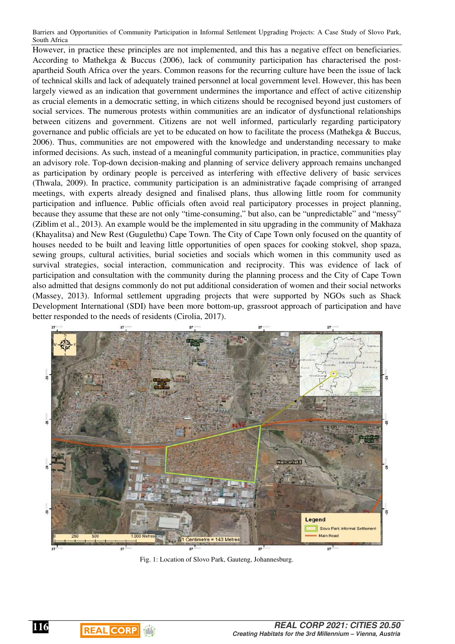However, in practice these principles are not implemented, and this has a negative effect on beneficiaries. According to Mathekga & Buccus (2006), lack of community participation has characterised the postapartheid South Africa over the years. Common reasons for the recurring culture have been the issue of lack of technical skills and lack of adequately trained personnel at local government level. However, this has been largely viewed as an indication that government undermines the importance and effect of active citizenship as crucial elements in a democratic setting, in which citizens should be recognised beyond just customers of social services. The numerous protests within communities are an indicator of dysfunctional relationships between citizens and government. Citizens are not well informed, particularly regarding participatory governance and public officials are yet to be educated on how to facilitate the process (Mathekga & Buccus, 2006). Thus, communities are not empowered with the knowledge and understanding necessary to make informed decisions. As such, instead of a meaningful community participation, in practice, communities play an advisory role. Top-down decision-making and planning of service delivery approach remains unchanged as participation by ordinary people is perceived as interfering with effective delivery of basic services (Thwala, 2009). In practice, community participation is an administrative façade comprising of arranged meetings, with experts already designed and finalised plans, thus allowing little room for community participation and influence. Public officials often avoid real participatory processes in project planning, because they assume that these are not only "time-consuming," but also, can be "unpredictable" and "messy" (Ziblim et al., 2013). An example would be the implemented in situ upgrading in the community of Makhaza (Khayalitsa) and New Rest (Gugulethu) Cape Town. The City of Cape Town only focused on the quantity of houses needed to be built and leaving little opportunities of open spaces for cooking stokvel, shop spaza, sewing groups, cultural activities, burial societies and socials which women in this community used as survival strategies, social interaction, communication and reciprocity. This was evidence of lack of participation and consultation with the community during the planning process and the City of Cape Town also admitted that designs commonly do not put additional consideration of women and their social networks (Massey, 2013). Informal settlement upgrading projects that were supported by NGOs such as Shack Development International (SDI) have been more bottom-up, grassroot approach of participation and have better responded to the needs of residents (Cirolia, 2017).



Fig. 1: Location of Slovo Park, Gauteng, Johannesburg.

 $\begin{array}{c} \hline \end{array}$ 

**REAL CORP** 

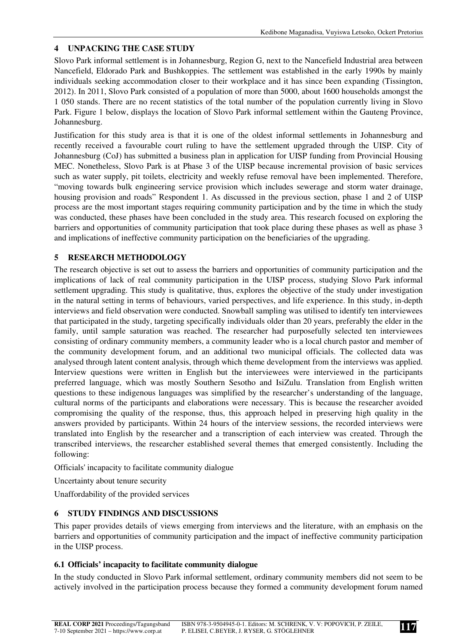## **4 UNPACKING THE CASE STUDY**

Slovo Park informal settlement is in Johannesburg, Region G, next to the Nancefield Industrial area between Nancefield, Eldorado Park and Bushkoppies. The settlement was established in the early 1990s by mainly individuals seeking accommodation closer to their workplace and it has since been expanding (Tissington, 2012). In 2011, Slovo Park consisted of a population of more than 5000, about 1600 households amongst the 1 050 stands. There are no recent statistics of the total number of the population currently living in Slovo Park. Figure 1 below, displays the location of Slovo Park informal settlement within the Gauteng Province, Johannesburg.

Justification for this study area is that it is one of the oldest informal settlements in Johannesburg and recently received a favourable court ruling to have the settlement upgraded through the UISP. City of Johannesburg (CoJ) has submitted a business plan in application for UISP funding from Provincial Housing MEC. Nonetheless, Slovo Park is at Phase 3 of the UISP because incremental provision of basic services such as water supply, pit toilets, electricity and weekly refuse removal have been implemented. Therefore, "moving towards bulk engineering service provision which includes sewerage and storm water drainage, housing provision and roads" Respondent 1. As discussed in the previous section, phase 1 and 2 of UISP process are the most important stages requiring community participation and by the time in which the study was conducted, these phases have been concluded in the study area. This research focused on exploring the barriers and opportunities of community participation that took place during these phases as well as phase 3 and implications of ineffective community participation on the beneficiaries of the upgrading.

# **5 RESEARCH METHODOLOGY**

The research objective is set out to assess the barriers and opportunities of community participation and the implications of lack of real community participation in the UISP process, studying Slovo Park informal settlement upgrading. This study is qualitative, thus, explores the objective of the study under investigation in the natural setting in terms of behaviours, varied perspectives, and life experience. In this study, in-depth interviews and field observation were conducted. Snowball sampling was utilised to identify ten interviewees that participated in the study, targeting specifically individuals older than 20 years, preferably the elder in the family, until sample saturation was reached. The researcher had purposefully selected ten interviewees consisting of ordinary community members, a community leader who is a local church pastor and member of the community development forum, and an additional two municipal officials. The collected data was analysed through latent content analysis, through which theme development from the interviews was applied. Interview questions were written in English but the interviewees were interviewed in the participants preferred language, which was mostly Southern Sesotho and IsiZulu. Translation from English written questions to these indigenous languages was simplified by the researcher's understanding of the language, cultural norms of the participants and elaborations were necessary. This is because the researcher avoided compromising the quality of the response, thus, this approach helped in preserving high quality in the answers provided by participants. Within 24 hours of the interview sessions, the recorded interviews were translated into English by the researcher and a transcription of each interview was created. Through the transcribed interviews, the researcher established several themes that emerged consistently. Including the following:

Officials' incapacity to facilitate community dialogue

Uncertainty about tenure security

Unaffordability of the provided services

## **6 STUDY FINDINGS AND DISCUSSIONS**

This paper provides details of views emerging from interviews and the literature, with an emphasis on the barriers and opportunities of community participation and the impact of ineffective community participation in the UISP process.

## **6.1 Officials' incapacity to facilitate community dialogue**

In the study conducted in Slovo Park informal settlement, ordinary community members did not seem to be actively involved in the participation process because they formed a community development forum named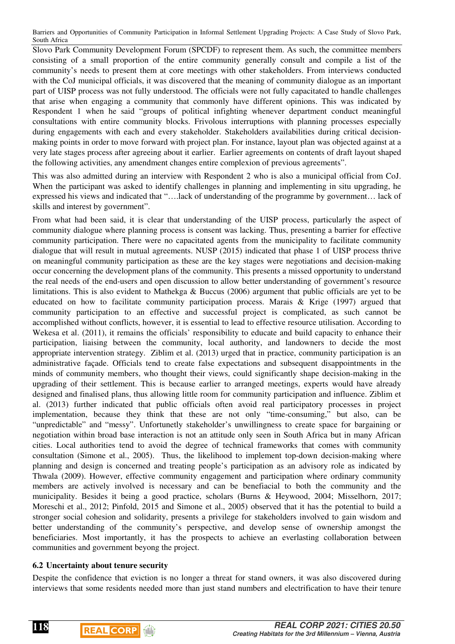Slovo Park Community Development Forum (SPCDF) to represent them. As such, the committee members consisting of a small proportion of the entire community generally consult and compile a list of the community's needs to present them at core meetings with other stakeholders. From interviews conducted with the CoJ municipal officials, it was discovered that the meaning of community dialogue as an important part of UISP process was not fully understood. The officials were not fully capacitated to handle challenges that arise when engaging a community that commonly have different opinions. This was indicated by Respondent 1 when he said "groups of political infighting whenever department conduct meaningful consultations with entire community blocks. Frivolous interruptions with planning processes especially during engagements with each and every stakeholder. Stakeholders availabilities during critical decisionmaking points in order to move forward with project plan. For instance, layout plan was objected against at a very late stages process after agreeing about it earlier. Earlier agreements on contents of draft layout shaped the following activities, any amendment changes entire complexion of previous agreements".

This was also admitted during an interview with Respondent 2 who is also a municipal official from CoJ. When the participant was asked to identify challenges in planning and implementing in situ upgrading, he expressed his views and indicated that "….lack of understanding of the programme by government… lack of skills and interest by government".

From what had been said, it is clear that understanding of the UISP process, particularly the aspect of community dialogue where planning process is consent was lacking. Thus, presenting a barrier for effective community participation. There were no capacitated agents from the municipality to facilitate community dialogue that will result in mutual agreements. NUSP (2015) indicated that phase 1 of UISP process thrive on meaningful community participation as these are the key stages were negotiations and decision-making occur concerning the development plans of the community. This presents a missed opportunity to understand the real needs of the end-users and open discussion to allow better understanding of government's resource limitations. This is also evident to Mathekga & Buccus (2006) argument that public officials are yet to be educated on how to facilitate community participation process. Marais & Krige (1997) argued that community participation to an effective and successful project is complicated, as such cannot be accomplished without conflicts, however, it is essential to lead to effective resource utilisation. According to Wekesa et al. (2011), it remains the officials' responsibility to educate and build capacity to enhance their participation, liaising between the community, local authority, and landowners to decide the most appropriate intervention strategy. Ziblim et al. (2013) urged that in practice, community participation is an administrative façade. Officials tend to create false expectations and subsequent disappointments in the minds of community members, who thought their views, could significantly shape decision-making in the upgrading of their settlement. This is because earlier to arranged meetings, experts would have already designed and finalised plans, thus allowing little room for community participation and influence. Ziblim et al. (2013) further indicated that public officials often avoid real participatory processes in project implementation, because they think that these are not only "time-consuming," but also, can be "unpredictable" and "messy". Unfortunetly stakeholder's unwillingness to create space for bargaining or negotiation within broad base interaction is not an attitude only seen in South Africa but in many African cities. Local authorities tend to avoid the degree of technical frameworks that comes with community consultation (Simone et al., 2005). Thus, the likelihood to implement top-down decision-making where planning and design is concerned and treating people's participation as an advisory role as indicated by Thwala (2009). However, effective community engagement and participation where ordinary community members are actively involved is necessary and can be benefiacial to both the community and the municipality. Besides it being a good practice, scholars (Burns & Heywood, 2004; Misselhorn, 2017; Moreschi et al., 2012; Pinfold, 2015 and Simone et al., 2005) observed that it has the potential to build a stronger social cohesion and solidarity, presents a privilege for stakeholders involved to gain wisdom and better understanding of the community's perspective, and develop sense of ownership amongst the beneficiaries. Most importantly, it has the prospects to achieve an everlasting collaboration between communities and government beyong the project.

### **6.2 Uncertainty about tenure security**

Despite the confidence that eviction is no longer a threat for stand owners, it was also discovered during interviews that some residents needed more than just stand numbers and electrification to have their tenure



**118**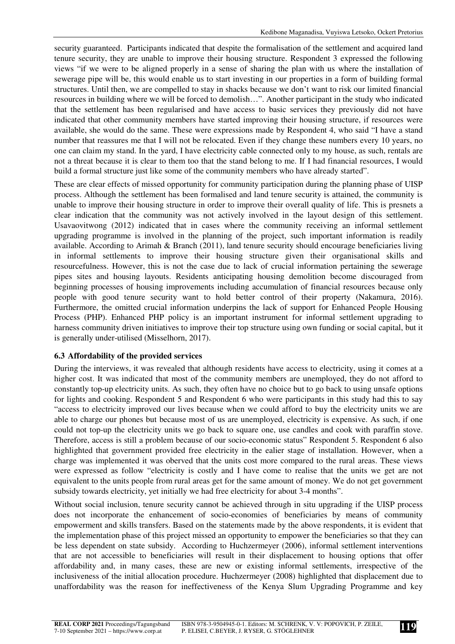security guaranteed. Participants indicated that despite the formalisation of the settlement and acquired land tenure security, they are unable to improve their housing structure. Respondent 3 expressed the following views "if we were to be aligned properly in a sense of sharing the plan with us where the installation of sewerage pipe will be, this would enable us to start investing in our properties in a form of building formal structures. Until then, we are compelled to stay in shacks because we don't want to risk our limited financial resources in building where we will be forced to demolish…". Another participant in the study who indicated that the settlement has been regularised and have access to basic services they previously did not have indicated that other community members have started improving their housing structure, if resources were available, she would do the same. These were expressions made by Respondent 4, who said "I have a stand number that reassures me that I will not be relocated. Even if they change these numbers every 10 years, no one can claim my stand. In the yard, I have electricity cable connected only to my house, as such, rentals are not a threat because it is clear to them too that the stand belong to me. If I had financial resources, I would build a formal structure just like some of the community members who have already started".

These are clear effects of missed opportunity for community participation during the planning phase of UISP process. Although the settlement has been formalised and land tenure security is attained, the community is unable to improve their housing structure in order to improve their overall quality of life. This is presnets a clear indication that the community was not actively involved in the layout design of this settlement. Usavaovitwong (2012) indicated that in cases where the community receiving an informal settlement upgrading programme is involved in the planning of the project, such important information is readily available. According to Arimah  $\&$  Branch (2011), land tenure security should encourage beneficiaries living in informal settlements to improve their housing structure given their organisational skills and resourcefulness. However, this is not the case due to lack of crucial information pertaining the sewerage pipes sites and housing layouts. Residents anticipating housing demolition become discouraged from beginning processes of housing improvements including accumulation of financial resources because only people with good tenure security want to hold better control of their property (Nakamura, 2016). Furthermore, the omitted crucial information underpins the lack of support for Enhanced People Housing Process (PHP). Enhanced PHP policy is an important instrument for informal settlement upgrading to harness community driven initiatives to improve their top structure using own funding or social capital, but it is generally under-utilised (Misselhorn, 2017).

## **6.3 Affordability of the provided services**

During the interviews, it was revealed that although residents have access to electricity, using it comes at a higher cost. It was indicated that most of the community members are unemployed, they do not afford to constantly top-up electricity units. As such, they often have no choice but to go back to using unsafe options for lights and cooking. Respondent 5 and Respondent 6 who were participants in this study had this to say "access to electricity improved our lives because when we could afford to buy the electricity units we are able to charge our phones but because most of us are unemployed, electricity is expensive. As such, if one could not top-up the electricity units we go back to square one, use candles and cook with paraffin stove. Therefore, access is still a problem because of our socio-economic status" Respondent 5. Respondent 6 also highlighted that government provided free electricity in the ealier stage of installation. However, when a charge was implemented it was oberved that the units cost more compared to the rural areas. These views were expressed as follow "electricity is costly and I have come to realise that the units we get are not equivalent to the units people from rural areas get for the same amount of money. We do not get government subsidy towards electricity, yet initially we had free electricity for about 3-4 months".

Without social inclusion, tenure security cannot be achieved through in situ upgrading if the UISP process does not incorporate the enhancement of socio-economies of beneficiaries by means of community empowerment and skills transfers. Based on the statements made by the above respondents, it is evident that the implementation phase of this project missed an opportunity to empower the beneficiaries so that they can be less dependent on state subsidy. According to Huchzermeyer (2006), informal settlement interventions that are not accessible to beneficiaries will result in their displacement to housing options that offer affordability and, in many cases, these are new or existing informal settlements, irrespective of the inclusiveness of the initial allocation procedure. Huchzermeyer (2008) highlighted that displacement due to unaffordability was the reason for ineffectiveness of the Kenya Slum Upgrading Programme and key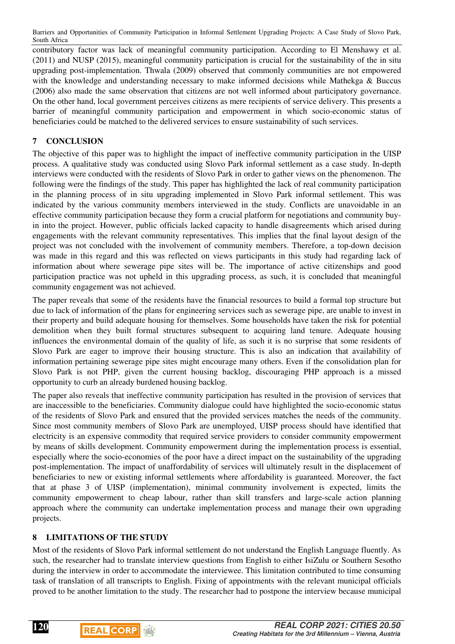contributory factor was lack of meaningful community participation. According to El Menshawy et al. (2011) and NUSP (2015), meaningful community participation is crucial for the sustainability of the in situ upgrading post-implementation. Thwala (2009) observed that commonly communities are not empowered with the knowledge and understanding necessary to make informed decisions while Mathekga & Buccus (2006) also made the same observation that citizens are not well informed about participatory governance. On the other hand, local government perceives citizens as mere recipients of service delivery. This presents a barrier of meaningful community participation and empowerment in which socio-economic status of beneficiaries could be matched to the delivered services to ensure sustainability of such services.

## **7 CONCLUSION**

The objective of this paper was to highlight the impact of ineffective community participation in the UISP process. A qualitative study was conducted using Slovo Park informal settlement as a case study. In-depth interviews were conducted with the residents of Slovo Park in order to gather views on the phenomenon. The following were the findings of the study. This paper has highlighted the lack of real community participation in the planning process of in situ upgrading implemented in Slovo Park informal settlement. This was indicated by the various community members interviewed in the study. Conflicts are unavoidable in an effective community participation because they form a crucial platform for negotiations and community buyin into the project. However, public officials lacked capacity to handle disagreements which arised during engagements with the relevant community representatives. This implies that the final layout design of the project was not concluded with the involvement of community members. Therefore, a top-down decision was made in this regard and this was reflected on views participants in this study had regarding lack of information about where sewerage pipe sites will be. The importance of active citizenships and good participation practice was not upheld in this upgrading process, as such, it is concluded that meaningful community engagement was not achieved.

The paper reveals that some of the residents have the financial resources to build a formal top structure but due to lack of information of the plans for engineering services such as sewerage pipe, are unable to invest in their property and build adequate housing for themselves. Some households have taken the risk for potential demolition when they built formal structures subsequent to acquiring land tenure. Adequate housing influences the environmental domain of the quality of life, as such it is no surprise that some residents of Slovo Park are eager to improve their housing structure. This is also an indication that availability of information pertaining sewerage pipe sites might encourage many others. Even if the consolidation plan for Slovo Park is not PHP, given the current housing backlog, discouraging PHP approach is a missed opportunity to curb an already burdened housing backlog.

The paper also reveals that ineffective community participation has resulted in the provision of services that are inaccessible to the beneficiaries. Community dialogue could have highlighted the socio-economic status of the residents of Slovo Park and ensured that the provided services matches the needs of the community. Since most community members of Slovo Park are unemployed, UISP process should have identified that electricity is an expensive commodity that required service providers to consider community empowerment by means of skills development. Community empowerment during the implementation process is essential, especially where the socio-economies of the poor have a direct impact on the sustainability of the upgrading post-implementation. The impact of unaffordability of services will ultimately result in the displacement of beneficiaries to new or existing informal settlements where affordability is guaranteed. Moreover, the fact that at phase 3 of UISP (implementation), minimal community involvement is expected, limits the community empowerment to cheap labour, rather than skill transfers and large-scale action planning approach where the community can undertake implementation process and manage their own upgrading projects.

## **8 LIMITATIONS OF THE STUDY**

Most of the residents of Slovo Park informal settlement do not understand the English Language fluently. As such, the researcher had to translate interview questions from English to either IsiZulu or Southern Sesotho during the interview in order to accommodate the interviewee. This limitation contributed to time consuming task of translation of all transcripts to English. Fixing of appointments with the relevant municipal officials proved to be another limitation to the study. The researcher had to postpone the interview because municipal

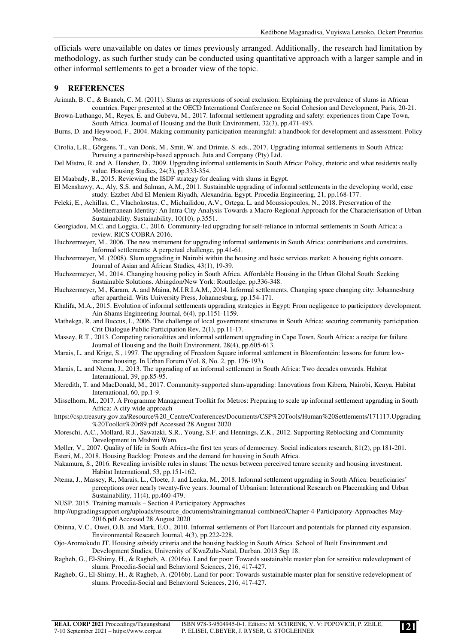officials were unavailable on dates or times previously arranged. Additionally, the research had limitation by methodology, as such further study can be conducted using quantitative approach with a larger sample and in other informal settlements to get a broader view of the topic.

#### **9 REFERENCES**

- Arimah, B. C., & Branch, C. M. (2011). Slums as expressions of social exclusion: Explaining the prevalence of slums in African countries. Paper presented at the OECD International Conference on Social Cohesion and Development, Paris, 20-21.
- Brown-Luthango, M., Reyes, E. and Gubevu, M., 2017. Informal settlement upgrading and safety: experiences from Cape Town, South Africa. Journal of Housing and the Built Environment, 32(3), pp.471-493.
- Burns, D. and Heywood, F., 2004. Making community participation meaningful: a handbook for development and assessment. Policy Press.
- Cirolia, L.R., Görgens, T., van Donk, M., Smit, W. and Drimie, S. eds., 2017. Upgrading informal settlements in South Africa: Pursuing a partnership-based approach. Juta and Company (Pty) Ltd.
- Del Mistro, R. and A. Hensher, D., 2009. Upgrading informal settlements in South Africa: Policy, rhetoric and what residents really value. Housing Studies, 24(3), pp.333-354.
- El Maabady, B., 2015. Reviewing the ISDF strategy for dealing with slums in Egypt.
- El Menshawy, A., Aly, S.S. and Salman, A.M., 2011. Sustainable upgrading of informal settlements in the developing world, case study: Ezzbet Abd El Meniem Riyadh, Alexandria, Egypt. Procedia Engineering, 21, pp.168-177.
- Feleki, E., Achillas, C., Vlachokostas, C., Michailidou, A.V., Ortega, L. and Moussiopoulos, N., 2018. Preservation of the Mediterranean Identity: An Intra-City Analysis Towards a Macro-Regional Approach for the Characterisation of Urban Sustainability. Sustainability, 10(10), p.3551.

Georgiadou, M.C. and Loggia, C., 2016. Community-led upgrading for self-reliance in informal settlements in South Africa: a review. RICS COBRA 2016.

- Huchzermeyer, M., 2006. The new instrument for upgrading informal settlements in South Africa: contributions and constraints. Informal settlements: A perpetual challenge, pp.41-61.
- Huchzermeyer, M. (2008). Slum upgrading in Nairobi within the housing and basic services market: A housing rights concern. Journal of Asian and African Studies, 43(1), 19-39.
- Huchzermeyer, M., 2014. Changing housing policy in South Africa. Affordable Housing in the Urban Global South: Seeking Sustainable Solutions. Abingdon/New York: Routledge, pp.336-348.
- Huchzermeyer, M., Karam, A. and Maina, M.I.R.I.A.M., 2014. Informal settlements. Changing space changing city: Johannesburg after apartheid. Wits University Press, Johannesburg, pp.154-171.
- Khalifa, M.A., 2015. Evolution of informal settlements upgrading strategies in Egypt: From negligence to participatory development. Ain Shams Engineering Journal, 6(4), pp.1151-1159.
- Mathekga, R. and Buccus, I., 2006. The challenge of local government structures in South Africa: securing community participation. Crit Dialogue Public Participation Rev, 2(1), pp.11-17.
- Massey, R.T., 2013. Competing rationalities and informal settlement upgrading in Cape Town, South Africa: a recipe for failure. Journal of Housing and the Built Environment, 28(4), pp.605-613.
- Marais, L. and Krige, S., 1997. The upgrading of Freedom Square informal settlement in Bloemfontein: lessons for future lowincome housing. In Urban Forum (Vol. 8, No. 2, pp. 176-193).
- Marais, L. and Ntema, J., 2013. The upgrading of an informal settlement in South Africa: Two decades onwards. Habitat International, 39, pp.85-95.
- Meredith, T. and MacDonald, M., 2017. Community-supported slum-upgrading: Innovations from Kibera, Nairobi, Kenya. Habitat International, 60, pp.1-9.
- Misselhorn, M., 2017. A Programme Management Toolkit for Metros: Preparing to scale up informal settlement upgrading in South Africa: A city wide approach
- https://csp.treasury.gov.za/Resource%20\_Centre/Conferences/Documents/CSP%20Tools/Human%20Settlements/171117.Upgrading %20Toolkit%20r89.pdf Accessed 28 August 2020
- Moreschi, A.C., Mollard, R.J., Sawatzki, S.R., Young, S.F. and Hennings, Z.K., 2012. Supporting Reblocking and Community Development in Mtshini Wam.
- Møller, V., 2007. Quality of life in South Africa–the first ten years of democracy. Social indicators research, 81(2), pp.181-201.
- Esteri, M., 2018. Housing Backlog: Protests and the demand for housing in South Africa.
- Nakamura, S., 2016. Revealing invisible rules in slums: The nexus between perceived tenure security and housing investment. Habitat International, 53, pp.151-162.
- Ntema, J., Massey, R., Marais, L., Cloete, J. and Lenka, M., 2018. Informal settlement upgrading in South Africa: beneficiaries' perceptions over nearly twenty-five years. Journal of Urbanism: International Research on Placemaking and Urban Sustainability, 11(4), pp.460-479.
- NUSP. 2015. Training manuals Section 4 Participatory Approaches

http://upgradingsupport.org/uploads/resource\_documents/trainingmanual-combined/Chapter-4-Participatory-Approaches-May-2016.pdf Accessed 28 August 2020

- Obinna, V.C., Owei, O.B. and Mark, E.O., 2010. Informal settlements of Port Harcourt and potentials for planned city expansion. Environmental Research Journal, 4(3), pp.222-228.
- Ojo-Aromokudu JT. Housing subsidy criteria and the housing backlog in South Africa. School of Built Environment and Development Studies, University of KwaZulu-Natal, Durban. 2013 Sep 18.
- Ragheb, G., El-Shimy, H., & Ragheb, A. (2016a). Land for poor: Towards sustainable master plan for sensitive redevelopment of slums. Procedia-Social and Behavioral Sciences, 216, 417-427.
- Ragheb, G., El-Shimy, H., & Ragheb, A. (2016b). Land for poor: Towards sustainable master plan for sensitive redevelopment of slums. Procedia-Social and Behavioral Sciences, 216, 417-427.